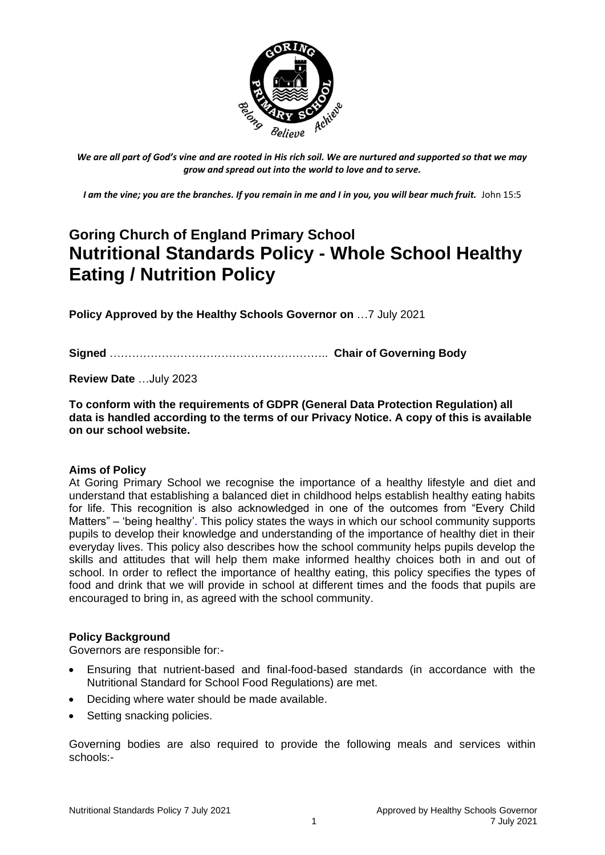

*We are all part of God's vine and are rooted in His rich soil. We are nurtured and supported so that we may grow and spread out into the world to love and to serve.*

*I am the vine; you are the branches. If you remain in me and I in you, you will bear much fruit.* John 15:5

# **Goring Church of England Primary School Nutritional Standards Policy - Whole School Healthy Eating / Nutrition Policy**

**Policy Approved by the Healthy Schools Governor on** …7 July 2021

**Signed** ………………………………………………….. **Chair of Governing Body**

**Review Date** …July 2023

**To conform with the requirements of GDPR (General Data Protection Regulation) all data is handled according to the terms of our Privacy Notice. A copy of this is available on our school website.** 

#### **Aims of Policy**

At Goring Primary School we recognise the importance of a healthy lifestyle and diet and understand that establishing a balanced diet in childhood helps establish healthy eating habits for life. This recognition is also acknowledged in one of the outcomes from "Every Child Matters" – 'being healthy'. This policy states the ways in which our school community supports pupils to develop their knowledge and understanding of the importance of healthy diet in their everyday lives. This policy also describes how the school community helps pupils develop the skills and attitudes that will help them make informed healthy choices both in and out of school. In order to reflect the importance of healthy eating, this policy specifies the types of food and drink that we will provide in school at different times and the foods that pupils are encouraged to bring in, as agreed with the school community.

#### **Policy Background**

Governors are responsible for:-

- Ensuring that nutrient-based and final-food-based standards (in accordance with the Nutritional Standard for School Food Regulations) are met.
- Deciding where water should be made available.
- Setting snacking policies.

Governing bodies are also required to provide the following meals and services within schools:-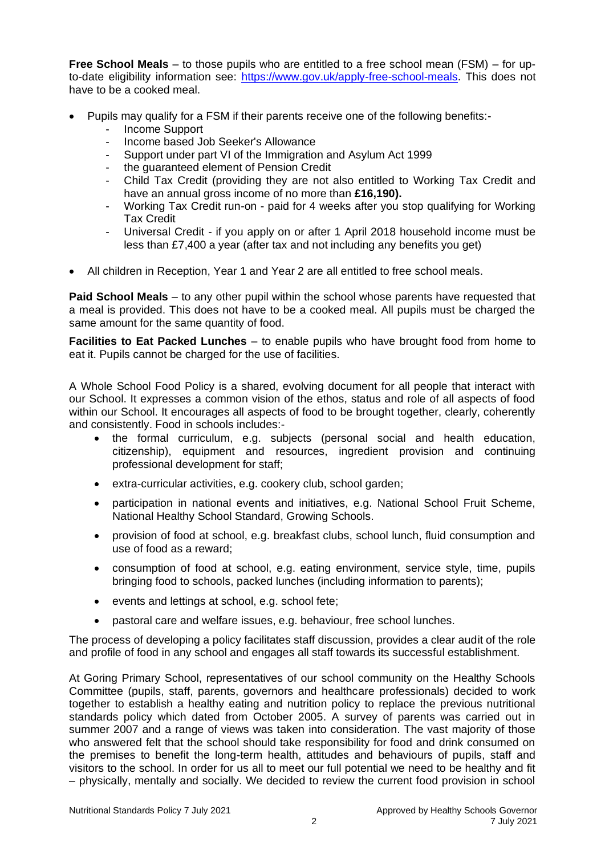**Free School Meals** – to those pupils who are entitled to a free school mean (FSM) – for upto-date eligibility information see: [https://www.gov.uk/apply-free-school-meals.](https://www.gov.uk/apply-free-school-meals) This does not have to be a cooked meal.

- Pupils may qualify for a FSM if their parents receive one of the following benefits:-
	- Income Support
	- Income based Job Seeker's Allowance
	- Support under part VI of the Immigration and Asylum Act 1999
	- the guaranteed element of Pension Credit
	- Child Tax Credit (providing they are not also entitled to Working Tax Credit and have an annual gross income of no more than **£16,190).**
	- Working Tax Credit run-on paid for 4 weeks after you stop qualifying for Working Tax Credit
	- Universal Credit if you apply on or after 1 April 2018 household income must be less than £7,400 a year (after tax and not including any benefits you get)
- All children in Reception, Year 1 and Year 2 are all entitled to free school meals.

**Paid School Meals** – to any other pupil within the school whose parents have requested that a meal is provided. This does not have to be a cooked meal. All pupils must be charged the same amount for the same quantity of food.

**Facilities to Eat Packed Lunches** – to enable pupils who have brought food from home to eat it. Pupils cannot be charged for the use of facilities.

A Whole School Food Policy is a shared, evolving document for all people that interact with our School. It expresses a common vision of the ethos, status and role of all aspects of food within our School. It encourages all aspects of food to be brought together, clearly, coherently and consistently. Food in schools includes:-

- the formal curriculum, e.g. subjects (personal social and health education, citizenship), equipment and resources, ingredient provision and continuing professional development for staff;
- extra-curricular activities, e.g. cookery club, school garden;
- participation in national events and initiatives, e.g. National School Fruit Scheme, National Healthy School Standard, Growing Schools.
- provision of food at school, e.g. breakfast clubs, school lunch, fluid consumption and use of food as a reward;
- consumption of food at school, e.g. eating environment, service style, time, pupils bringing food to schools, packed lunches (including information to parents);
- events and lettings at school, e.g. school fete;
- pastoral care and welfare issues, e.g. behaviour, free school lunches.

The process of developing a policy facilitates staff discussion, provides a clear audit of the role and profile of food in any school and engages all staff towards its successful establishment.

At Goring Primary School, representatives of our school community on the Healthy Schools Committee (pupils, staff, parents, governors and healthcare professionals) decided to work together to establish a healthy eating and nutrition policy to replace the previous nutritional standards policy which dated from October 2005. A survey of parents was carried out in summer 2007 and a range of views was taken into consideration. The vast majority of those who answered felt that the school should take responsibility for food and drink consumed on the premises to benefit the long-term health, attitudes and behaviours of pupils, staff and visitors to the school. In order for us all to meet our full potential we need to be healthy and fit – physically, mentally and socially. We decided to review the current food provision in school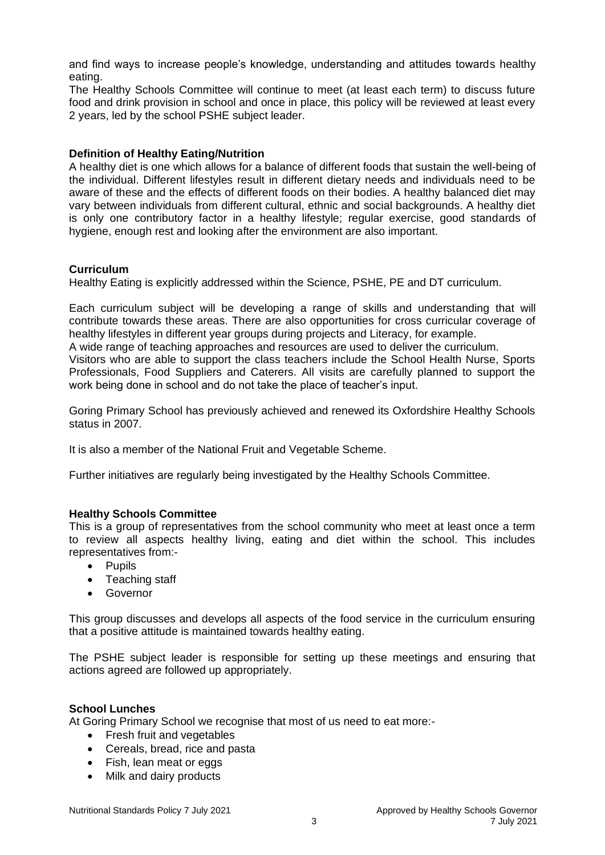and find ways to increase people's knowledge, understanding and attitudes towards healthy eating.

The Healthy Schools Committee will continue to meet (at least each term) to discuss future food and drink provision in school and once in place, this policy will be reviewed at least every 2 years, led by the school PSHE subject leader.

## **Definition of Healthy Eating/Nutrition**

A healthy diet is one which allows for a balance of different foods that sustain the well-being of the individual. Different lifestyles result in different dietary needs and individuals need to be aware of these and the effects of different foods on their bodies. A healthy balanced diet may vary between individuals from different cultural, ethnic and social backgrounds. A healthy diet is only one contributory factor in a healthy lifestyle; regular exercise, good standards of hygiene, enough rest and looking after the environment are also important.

#### **Curriculum**

Healthy Eating is explicitly addressed within the Science, PSHE, PE and DT curriculum.

Each curriculum subject will be developing a range of skills and understanding that will contribute towards these areas. There are also opportunities for cross curricular coverage of healthy lifestyles in different year groups during projects and Literacy, for example.

A wide range of teaching approaches and resources are used to deliver the curriculum.

Visitors who are able to support the class teachers include the School Health Nurse, Sports Professionals, Food Suppliers and Caterers. All visits are carefully planned to support the work being done in school and do not take the place of teacher's input.

Goring Primary School has previously achieved and renewed its Oxfordshire Healthy Schools status in 2007.

It is also a member of the National Fruit and Vegetable Scheme.

Further initiatives are regularly being investigated by the Healthy Schools Committee.

## **Healthy Schools Committee**

This is a group of representatives from the school community who meet at least once a term to review all aspects healthy living, eating and diet within the school. This includes representatives from:-

- Pupils
- Teaching staff
- Governor

This group discusses and develops all aspects of the food service in the curriculum ensuring that a positive attitude is maintained towards healthy eating.

The PSHE subject leader is responsible for setting up these meetings and ensuring that actions agreed are followed up appropriately.

#### **School Lunches**

At Goring Primary School we recognise that most of us need to eat more:-

- Fresh fruit and vegetables
- Cereals, bread, rice and pasta
- Fish, lean meat or eggs
- Milk and dairy products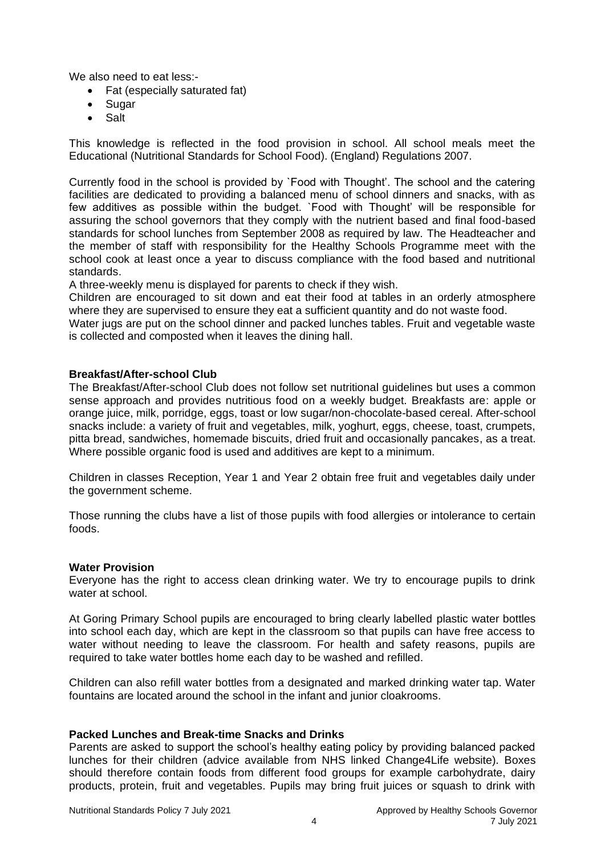We also need to eat less :-

- Fat (especially saturated fat)
- Sugar
- Salt

This knowledge is reflected in the food provision in school. All school meals meet the Educational (Nutritional Standards for School Food). (England) Regulations 2007.

Currently food in the school is provided by `Food with Thought'. The school and the catering facilities are dedicated to providing a balanced menu of school dinners and snacks, with as few additives as possible within the budget. `Food with Thought' will be responsible for assuring the school governors that they comply with the nutrient based and final food-based standards for school lunches from September 2008 as required by law. The Headteacher and the member of staff with responsibility for the Healthy Schools Programme meet with the school cook at least once a year to discuss compliance with the food based and nutritional standards.

A three-weekly menu is displayed for parents to check if they wish.

Children are encouraged to sit down and eat their food at tables in an orderly atmosphere where they are supervised to ensure they eat a sufficient quantity and do not waste food.

Water jugs are put on the school dinner and packed lunches tables. Fruit and vegetable waste is collected and composted when it leaves the dining hall.

## **Breakfast/After-school Club**

The Breakfast/After-school Club does not follow set nutritional guidelines but uses a common sense approach and provides nutritious food on a weekly budget. Breakfasts are: apple or orange juice, milk, porridge, eggs, toast or low sugar/non-chocolate-based cereal. After-school snacks include: a variety of fruit and vegetables, milk, yoghurt, eggs, cheese, toast, crumpets, pitta bread, sandwiches, homemade biscuits, dried fruit and occasionally pancakes, as a treat. Where possible organic food is used and additives are kept to a minimum.

Children in classes Reception, Year 1 and Year 2 obtain free fruit and vegetables daily under the government scheme.

Those running the clubs have a list of those pupils with food allergies or intolerance to certain foods.

#### **Water Provision**

Everyone has the right to access clean drinking water. We try to encourage pupils to drink water at school.

At Goring Primary School pupils are encouraged to bring clearly labelled plastic water bottles into school each day, which are kept in the classroom so that pupils can have free access to water without needing to leave the classroom. For health and safety reasons, pupils are required to take water bottles home each day to be washed and refilled.

Children can also refill water bottles from a designated and marked drinking water tap. Water fountains are located around the school in the infant and junior cloakrooms.

# **Packed Lunches and Break-time Snacks and Drinks**

Parents are asked to support the school's healthy eating policy by providing balanced packed lunches for their children (advice available from NHS linked Change4Life website). Boxes should therefore contain foods from different food groups for example carbohydrate, dairy products, protein, fruit and vegetables. Pupils may bring fruit juices or squash to drink with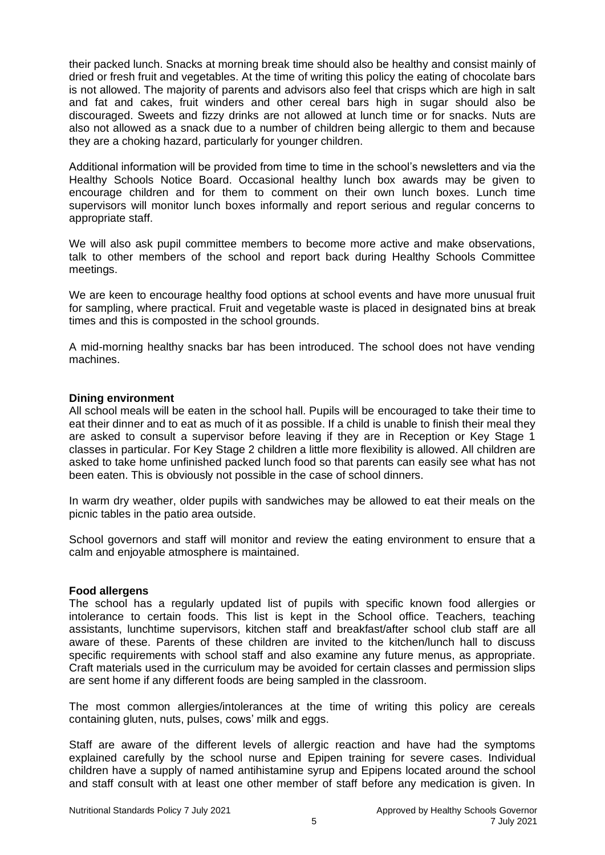their packed lunch. Snacks at morning break time should also be healthy and consist mainly of dried or fresh fruit and vegetables. At the time of writing this policy the eating of chocolate bars is not allowed. The majority of parents and advisors also feel that crisps which are high in salt and fat and cakes, fruit winders and other cereal bars high in sugar should also be discouraged. Sweets and fizzy drinks are not allowed at lunch time or for snacks. Nuts are also not allowed as a snack due to a number of children being allergic to them and because they are a choking hazard, particularly for younger children.

Additional information will be provided from time to time in the school's newsletters and via the Healthy Schools Notice Board. Occasional healthy lunch box awards may be given to encourage children and for them to comment on their own lunch boxes. Lunch time supervisors will monitor lunch boxes informally and report serious and regular concerns to appropriate staff.

We will also ask pupil committee members to become more active and make observations, talk to other members of the school and report back during Healthy Schools Committee meetings.

We are keen to encourage healthy food options at school events and have more unusual fruit for sampling, where practical. Fruit and vegetable waste is placed in designated bins at break times and this is composted in the school grounds.

A mid-morning healthy snacks bar has been introduced. The school does not have vending machines.

#### **Dining environment**

All school meals will be eaten in the school hall. Pupils will be encouraged to take their time to eat their dinner and to eat as much of it as possible. If a child is unable to finish their meal they are asked to consult a supervisor before leaving if they are in Reception or Key Stage 1 classes in particular. For Key Stage 2 children a little more flexibility is allowed. All children are asked to take home unfinished packed lunch food so that parents can easily see what has not been eaten. This is obviously not possible in the case of school dinners.

In warm dry weather, older pupils with sandwiches may be allowed to eat their meals on the picnic tables in the patio area outside.

School governors and staff will monitor and review the eating environment to ensure that a calm and enjoyable atmosphere is maintained.

## **Food allergens**

The school has a regularly updated list of pupils with specific known food allergies or intolerance to certain foods. This list is kept in the School office. Teachers, teaching assistants, lunchtime supervisors, kitchen staff and breakfast/after school club staff are all aware of these. Parents of these children are invited to the kitchen/lunch hall to discuss specific requirements with school staff and also examine any future menus, as appropriate. Craft materials used in the curriculum may be avoided for certain classes and permission slips are sent home if any different foods are being sampled in the classroom.

The most common allergies/intolerances at the time of writing this policy are cereals containing gluten, nuts, pulses, cows' milk and eggs.

Staff are aware of the different levels of allergic reaction and have had the symptoms explained carefully by the school nurse and Epipen training for severe cases. Individual children have a supply of named antihistamine syrup and Epipens located around the school and staff consult with at least one other member of staff before any medication is given. In